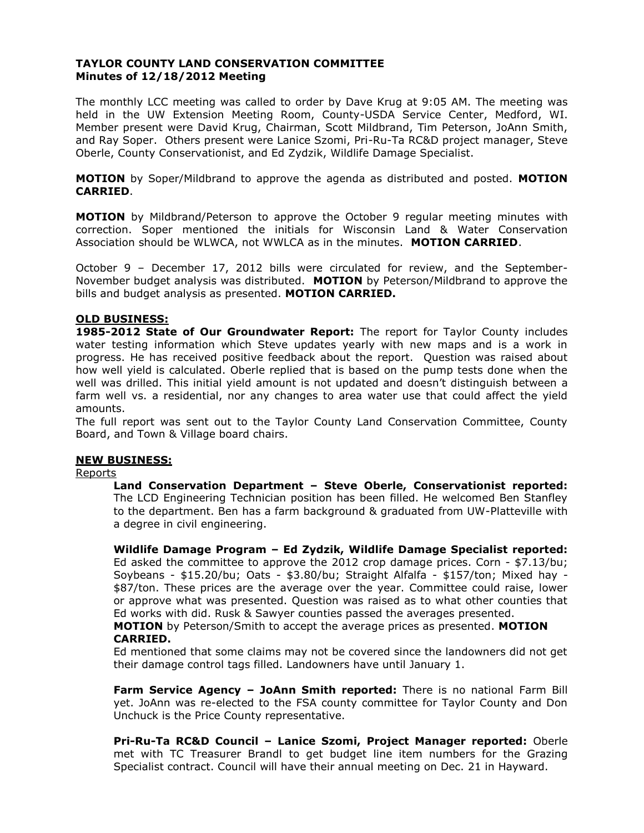## **TAYLOR COUNTY LAND CONSERVATION COMMITTEE Minutes of 12/18/2012 Meeting**

The monthly LCC meeting was called to order by Dave Krug at 9:05 AM. The meeting was held in the UW Extension Meeting Room, County-USDA Service Center, Medford, WI. Member present were David Krug, Chairman, Scott Mildbrand, Tim Peterson, JoAnn Smith, and Ray Soper. Others present were Lanice Szomi, Pri-Ru-Ta RC&D project manager, Steve Oberle, County Conservationist, and Ed Zydzik, Wildlife Damage Specialist.

**MOTION** by Soper/Mildbrand to approve the agenda as distributed and posted. **MOTION CARRIED**.

**MOTION** by Mildbrand/Peterson to approve the October 9 regular meeting minutes with correction. Soper mentioned the initials for Wisconsin Land & Water Conservation Association should be WLWCA, not WWLCA as in the minutes. **MOTION CARRIED**.

October 9 – December 17, 2012 bills were circulated for review, and the September-November budget analysis was distributed. **MOTION** by Peterson/Mildbrand to approve the bills and budget analysis as presented. **MOTION CARRIED.**

## **OLD BUSINESS:**

**1985-2012 State of Our Groundwater Report:** The report for Taylor County includes water testing information which Steve updates yearly with new maps and is a work in progress. He has received positive feedback about the report. Question was raised about how well yield is calculated. Oberle replied that is based on the pump tests done when the well was drilled. This initial yield amount is not updated and doesn't distinguish between a farm well vs. a residential, nor any changes to area water use that could affect the yield amounts.

The full report was sent out to the Taylor County Land Conservation Committee, County Board, and Town & Village board chairs.

## **NEW BUSINESS:**

### Reports

**Land Conservation Department – Steve Oberle, Conservationist reported:** The LCD Engineering Technician position has been filled. He welcomed Ben Stanfley to the department. Ben has a farm background & graduated from UW-Platteville with a degree in civil engineering.

**Wildlife Damage Program – Ed Zydzik, Wildlife Damage Specialist reported:** Ed asked the committee to approve the 2012 crop damage prices. Corn - \$7.13/bu; Soybeans - \$15.20/bu; Oats - \$3.80/bu; Straight Alfalfa - \$157/ton; Mixed hay - \$87/ton. These prices are the average over the year. Committee could raise, lower or approve what was presented. Question was raised as to what other counties that Ed works with did. Rusk & Sawyer counties passed the averages presented.

### **MOTION** by Peterson/Smith to accept the average prices as presented. **MOTION CARRIED.**

Ed mentioned that some claims may not be covered since the landowners did not get their damage control tags filled. Landowners have until January 1.

**Farm Service Agency – JoAnn Smith reported:** There is no national Farm Bill yet. JoAnn was re-elected to the FSA county committee for Taylor County and Don Unchuck is the Price County representative.

**Pri-Ru-Ta RC&D Council – Lanice Szomi, Project Manager reported:** Oberle met with TC Treasurer Brandl to get budget line item numbers for the Grazing Specialist contract. Council will have their annual meeting on Dec. 21 in Hayward.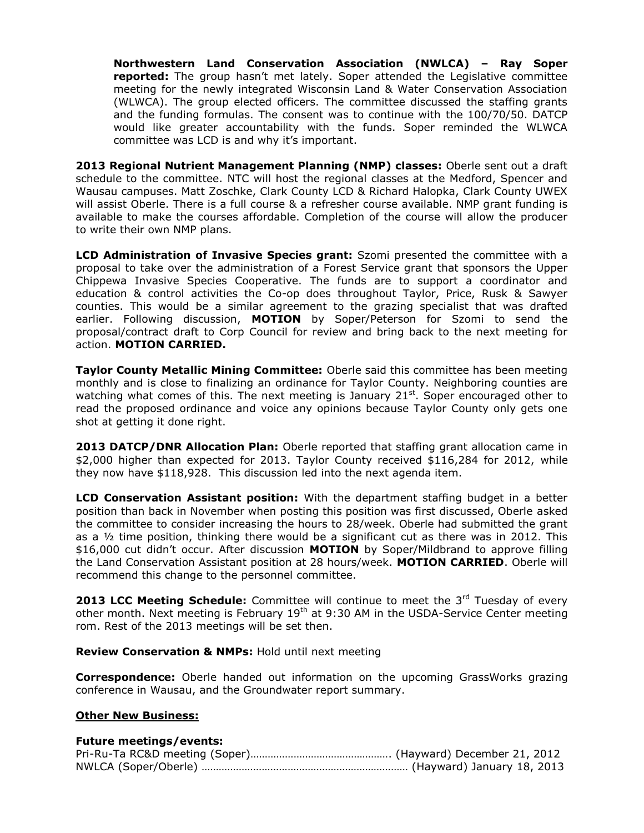**Northwestern Land Conservation Association (NWLCA) – Ray Soper reported:** The group hasn't met lately. Soper attended the Legislative committee meeting for the newly integrated Wisconsin Land & Water Conservation Association (WLWCA). The group elected officers. The committee discussed the staffing grants and the funding formulas. The consent was to continue with the 100/70/50. DATCP would like greater accountability with the funds. Soper reminded the WLWCA committee was LCD is and why it's important.

**2013 Regional Nutrient Management Planning (NMP) classes:** Oberle sent out a draft schedule to the committee. NTC will host the regional classes at the Medford, Spencer and Wausau campuses. Matt Zoschke, Clark County LCD & Richard Halopka, Clark County UWEX will assist Oberle. There is a full course & a refresher course available. NMP grant funding is available to make the courses affordable. Completion of the course will allow the producer to write their own NMP plans.

**LCD Administration of Invasive Species grant:** Szomi presented the committee with a proposal to take over the administration of a Forest Service grant that sponsors the Upper Chippewa Invasive Species Cooperative. The funds are to support a coordinator and education & control activities the Co-op does throughout Taylor, Price, Rusk & Sawyer counties. This would be a similar agreement to the grazing specialist that was drafted earlier. Following discussion, **MOTION** by Soper/Peterson for Szomi to send the proposal/contract draft to Corp Council for review and bring back to the next meeting for action. **MOTION CARRIED.**

**Taylor County Metallic Mining Committee:** Oberle said this committee has been meeting monthly and is close to finalizing an ordinance for Taylor County. Neighboring counties are watching what comes of this. The next meeting is January  $21<sup>st</sup>$ . Soper encouraged other to read the proposed ordinance and voice any opinions because Taylor County only gets one shot at getting it done right.

**2013 DATCP/DNR Allocation Plan:** Oberle reported that staffing grant allocation came in \$2,000 higher than expected for 2013. Taylor County received \$116,284 for 2012, while they now have \$118,928. This discussion led into the next agenda item.

**LCD Conservation Assistant position:** With the department staffing budget in a better position than back in November when posting this position was first discussed, Oberle asked the committee to consider increasing the hours to 28/week. Oberle had submitted the grant as a  $\frac{1}{2}$  time position, thinking there would be a significant cut as there was in 2012. This \$16,000 cut didn't occur. After discussion **MOTION** by Soper/Mildbrand to approve filling the Land Conservation Assistant position at 28 hours/week. **MOTION CARRIED**. Oberle will recommend this change to the personnel committee.

**2013 LCC Meeting Schedule:** Committee will continue to meet the 3<sup>rd</sup> Tuesday of every other month. Next meeting is February  $19<sup>th</sup>$  at 9:30 AM in the USDA-Service Center meeting rom. Rest of the 2013 meetings will be set then.

**Review Conservation & NMPs:** Hold until next meeting

**Correspondence:** Oberle handed out information on the upcoming GrassWorks grazing conference in Wausau, and the Groundwater report summary.

## **Other New Business:**

### **Future meetings/events:**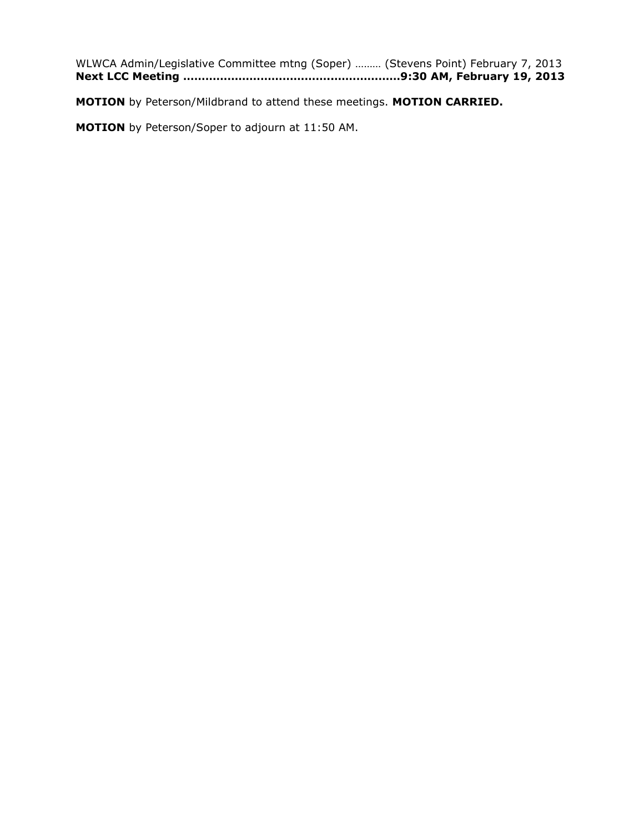WLWCA Admin/Legislative Committee mtng (Soper) ……… (Stevens Point) February 7, 2013 **Next LCC Meeting …………………………………..………………9:30 AM, February 19, 2013**

**MOTION** by Peterson/Mildbrand to attend these meetings. **MOTION CARRIED.**

**MOTION** by Peterson/Soper to adjourn at 11:50 AM.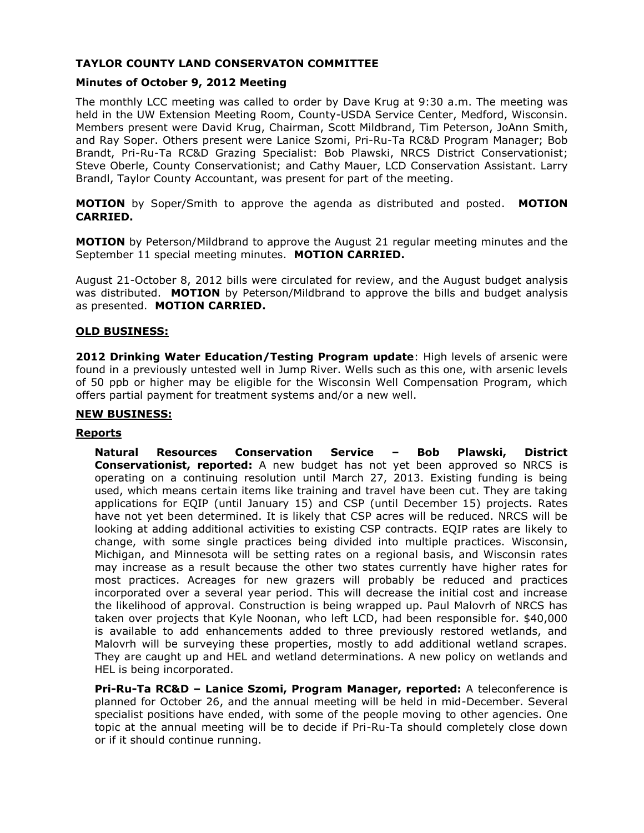# **TAYLOR COUNTY LAND CONSERVATON COMMITTEE**

## **Minutes of October 9, 2012 Meeting**

The monthly LCC meeting was called to order by Dave Krug at 9:30 a.m. The meeting was held in the UW Extension Meeting Room, County-USDA Service Center, Medford, Wisconsin. Members present were David Krug, Chairman, Scott Mildbrand, Tim Peterson, JoAnn Smith, and Ray Soper. Others present were Lanice Szomi, Pri-Ru-Ta RC&D Program Manager; Bob Brandt, Pri-Ru-Ta RC&D Grazing Specialist: Bob Plawski, NRCS District Conservationist; Steve Oberle, County Conservationist; and Cathy Mauer, LCD Conservation Assistant. Larry Brandl, Taylor County Accountant, was present for part of the meeting.

**MOTION** by Soper/Smith to approve the agenda as distributed and posted. **MOTION CARRIED.**

**MOTION** by Peterson/Mildbrand to approve the August 21 regular meeting minutes and the September 11 special meeting minutes. **MOTION CARRIED.**

August 21-October 8, 2012 bills were circulated for review, and the August budget analysis was distributed. **MOTION** by Peterson/Mildbrand to approve the bills and budget analysis as presented. **MOTION CARRIED.**

### **OLD BUSINESS:**

**2012 Drinking Water Education/Testing Program update**: High levels of arsenic were found in a previously untested well in Jump River. Wells such as this one, with arsenic levels of 50 ppb or higher may be eligible for the Wisconsin Well Compensation Program, which offers partial payment for treatment systems and/or a new well.

## **NEW BUSINESS:**

## **Reports**

**Natural Resources Conservation Service – Bob Plawski, District Conservationist, reported:** A new budget has not yet been approved so NRCS is operating on a continuing resolution until March 27, 2013. Existing funding is being used, which means certain items like training and travel have been cut. They are taking applications for EQIP (until January 15) and CSP (until December 15) projects. Rates have not yet been determined. It is likely that CSP acres will be reduced. NRCS will be looking at adding additional activities to existing CSP contracts. EQIP rates are likely to change, with some single practices being divided into multiple practices. Wisconsin, Michigan, and Minnesota will be setting rates on a regional basis, and Wisconsin rates may increase as a result because the other two states currently have higher rates for most practices. Acreages for new grazers will probably be reduced and practices incorporated over a several year period. This will decrease the initial cost and increase the likelihood of approval. Construction is being wrapped up. Paul Malovrh of NRCS has taken over projects that Kyle Noonan, who left LCD, had been responsible for. \$40,000 is available to add enhancements added to three previously restored wetlands, and Malovrh will be surveying these properties, mostly to add additional wetland scrapes. They are caught up and HEL and wetland determinations. A new policy on wetlands and HEL is being incorporated.

**Pri-Ru-Ta RC&D – Lanice Szomi, Program Manager, reported:** A teleconference is planned for October 26, and the annual meeting will be held in mid-December. Several specialist positions have ended, with some of the people moving to other agencies. One topic at the annual meeting will be to decide if Pri-Ru-Ta should completely close down or if it should continue running.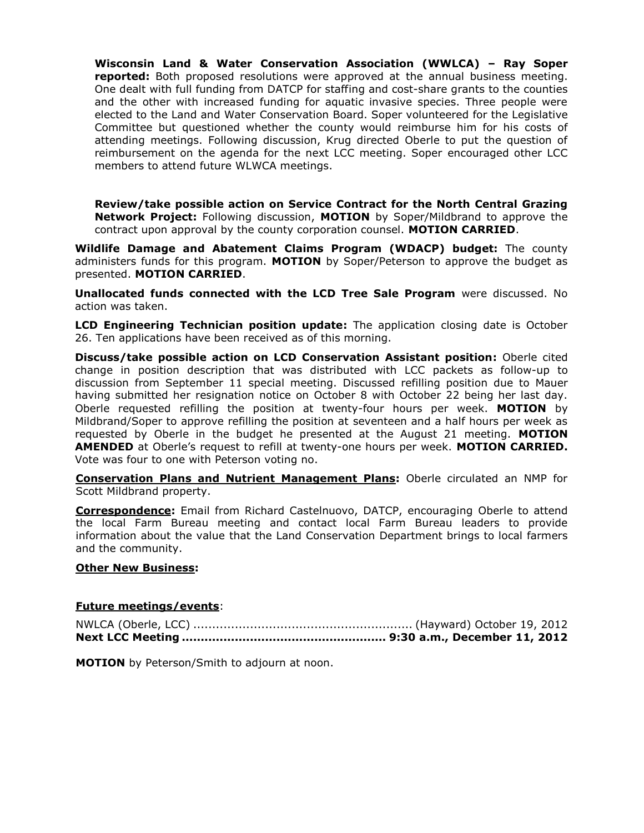**Wisconsin Land & Water Conservation Association (WWLCA) – Ray Soper reported:** Both proposed resolutions were approved at the annual business meeting. One dealt with full funding from DATCP for staffing and cost-share grants to the counties and the other with increased funding for aquatic invasive species. Three people were elected to the Land and Water Conservation Board. Soper volunteered for the Legislative Committee but questioned whether the county would reimburse him for his costs of attending meetings. Following discussion, Krug directed Oberle to put the question of reimbursement on the agenda for the next LCC meeting. Soper encouraged other LCC members to attend future WLWCA meetings.

**Review/take possible action on Service Contract for the North Central Grazing Network Project:** Following discussion, **MOTION** by Soper/Mildbrand to approve the contract upon approval by the county corporation counsel. **MOTION CARRIED**.

**Wildlife Damage and Abatement Claims Program (WDACP) budget:** The county administers funds for this program. **MOTION** by Soper/Peterson to approve the budget as presented. **MOTION CARRIED**.

**Unallocated funds connected with the LCD Tree Sale Program** were discussed. No action was taken.

**LCD Engineering Technician position update:** The application closing date is October 26. Ten applications have been received as of this morning.

**Discuss/take possible action on LCD Conservation Assistant position:** Oberle cited change in position description that was distributed with LCC packets as follow-up to discussion from September 11 special meeting. Discussed refilling position due to Mauer having submitted her resignation notice on October 8 with October 22 being her last day. Oberle requested refilling the position at twenty-four hours per week. **MOTION** by Mildbrand/Soper to approve refilling the position at seventeen and a half hours per week as requested by Oberle in the budget he presented at the August 21 meeting. **MOTION AMENDED** at Oberle's request to refill at twenty-one hours per week. **MOTION CARRIED.**  Vote was four to one with Peterson voting no.

**Conservation Plans and Nutrient Management Plans:** Oberle circulated an NMP for Scott Mildbrand property.

**Correspondence:** Email from Richard Castelnuovo, DATCP, encouraging Oberle to attend the local Farm Bureau meeting and contact local Farm Bureau leaders to provide information about the value that the Land Conservation Department brings to local farmers and the community.

### **Other New Business:**

### **Future meetings/events**:

NWLCA (Oberle, LCC) .......................................................... (Hayward) October 19, 2012 **Next LCC Meeting ...................................................... 9:30 a.m., December 11, 2012**

**MOTION** by Peterson/Smith to adjourn at noon.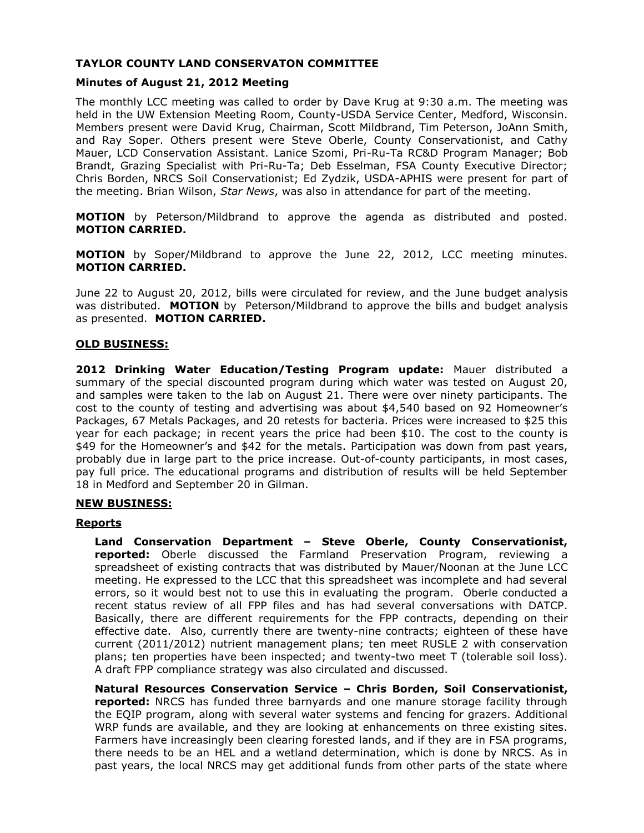# **TAYLOR COUNTY LAND CONSERVATON COMMITTEE**

# **Minutes of August 21, 2012 Meeting**

The monthly LCC meeting was called to order by Dave Krug at 9:30 a.m. The meeting was held in the UW Extension Meeting Room, County-USDA Service Center, Medford, Wisconsin. Members present were David Krug, Chairman, Scott Mildbrand, Tim Peterson, JoAnn Smith, and Ray Soper. Others present were Steve Oberle, County Conservationist, and Cathy Mauer, LCD Conservation Assistant. Lanice Szomi, Pri-Ru-Ta RC&D Program Manager; Bob Brandt, Grazing Specialist with Pri-Ru-Ta; Deb Esselman, FSA County Executive Director; Chris Borden, NRCS Soil Conservationist; Ed Zydzik, USDA-APHIS were present for part of the meeting. Brian Wilson, *Star News*, was also in attendance for part of the meeting.

**MOTION** by Peterson/Mildbrand to approve the agenda as distributed and posted. **MOTION CARRIED.**

**MOTION** by Soper/Mildbrand to approve the June 22, 2012, LCC meeting minutes. **MOTION CARRIED.**

June 22 to August 20, 2012, bills were circulated for review, and the June budget analysis was distributed. **MOTION** by Peterson/Mildbrand to approve the bills and budget analysis as presented. **MOTION CARRIED.**

## **OLD BUSINESS:**

**2012 Drinking Water Education/Testing Program update:** Mauer distributed a summary of the special discounted program during which water was tested on August 20, and samples were taken to the lab on August 21. There were over ninety participants. The cost to the county of testing and advertising was about \$4,540 based on 92 Homeowner's Packages, 67 Metals Packages, and 20 retests for bacteria. Prices were increased to \$25 this year for each package; in recent years the price had been \$10. The cost to the county is \$49 for the Homeowner's and \$42 for the metals. Participation was down from past years, probably due in large part to the price increase. Out-of-county participants, in most cases, pay full price. The educational programs and distribution of results will be held September 18 in Medford and September 20 in Gilman.

## **NEW BUSINESS:**

### **Reports**

**Land Conservation Department – Steve Oberle, County Conservationist, reported:** Oberle discussed the Farmland Preservation Program, reviewing a spreadsheet of existing contracts that was distributed by Mauer/Noonan at the June LCC meeting. He expressed to the LCC that this spreadsheet was incomplete and had several errors, so it would best not to use this in evaluating the program. Oberle conducted a recent status review of all FPP files and has had several conversations with DATCP. Basically, there are different requirements for the FPP contracts, depending on their effective date. Also, currently there are twenty-nine contracts; eighteen of these have current (2011/2012) nutrient management plans; ten meet RUSLE 2 with conservation plans; ten properties have been inspected; and twenty-two meet T (tolerable soil loss). A draft FPP compliance strategy was also circulated and discussed.

**Natural Resources Conservation Service – Chris Borden, Soil Conservationist, reported:** NRCS has funded three barnyards and one manure storage facility through the EQIP program, along with several water systems and fencing for grazers. Additional WRP funds are available, and they are looking at enhancements on three existing sites. Farmers have increasingly been clearing forested lands, and if they are in FSA programs, there needs to be an HEL and a wetland determination, which is done by NRCS. As in past years, the local NRCS may get additional funds from other parts of the state where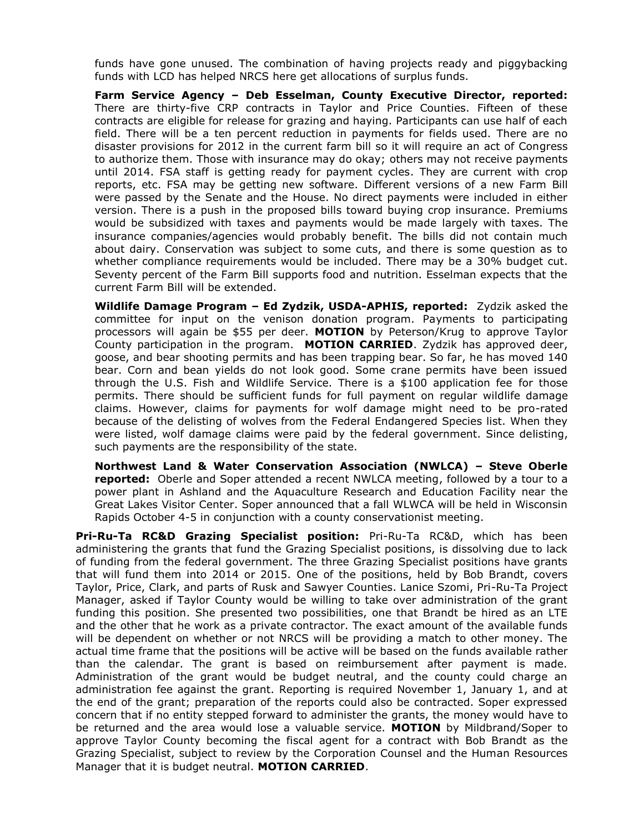funds have gone unused. The combination of having projects ready and piggybacking funds with LCD has helped NRCS here get allocations of surplus funds.

**Farm Service Agency – Deb Esselman, County Executive Director, reported:** There are thirty-five CRP contracts in Taylor and Price Counties. Fifteen of these contracts are eligible for release for grazing and haying. Participants can use half of each field. There will be a ten percent reduction in payments for fields used. There are no disaster provisions for 2012 in the current farm bill so it will require an act of Congress to authorize them. Those with insurance may do okay; others may not receive payments until 2014. FSA staff is getting ready for payment cycles. They are current with crop reports, etc. FSA may be getting new software. Different versions of a new Farm Bill were passed by the Senate and the House. No direct payments were included in either version. There is a push in the proposed bills toward buying crop insurance. Premiums would be subsidized with taxes and payments would be made largely with taxes. The insurance companies/agencies would probably benefit. The bills did not contain much about dairy. Conservation was subject to some cuts, and there is some question as to whether compliance requirements would be included. There may be a 30% budget cut. Seventy percent of the Farm Bill supports food and nutrition. Esselman expects that the current Farm Bill will be extended.

**Wildlife Damage Program – Ed Zydzik, USDA-APHIS, reported:** Zydzik asked the committee for input on the venison donation program. Payments to participating processors will again be \$55 per deer. **MOTION** by Peterson/Krug to approve Taylor County participation in the program. **MOTION CARRIED**. Zydzik has approved deer, goose, and bear shooting permits and has been trapping bear. So far, he has moved 140 bear. Corn and bean yields do not look good. Some crane permits have been issued through the U.S. Fish and Wildlife Service. There is a \$100 application fee for those permits. There should be sufficient funds for full payment on regular wildlife damage claims. However, claims for payments for wolf damage might need to be pro-rated because of the delisting of wolves from the Federal Endangered Species list. When they were listed, wolf damage claims were paid by the federal government. Since delisting, such payments are the responsibility of the state.

**Northwest Land & Water Conservation Association (NWLCA) – Steve Oberle reported:** Oberle and Soper attended a recent NWLCA meeting, followed by a tour to a power plant in Ashland and the Aquaculture Research and Education Facility near the Great Lakes Visitor Center. Soper announced that a fall WLWCA will be held in Wisconsin Rapids October 4-5 in conjunction with a county conservationist meeting.

**Pri-Ru-Ta RC&D Grazing Specialist position:** Pri-Ru-Ta RC&D, which has been administering the grants that fund the Grazing Specialist positions, is dissolving due to lack of funding from the federal government. The three Grazing Specialist positions have grants that will fund them into 2014 or 2015. One of the positions, held by Bob Brandt, covers Taylor, Price, Clark, and parts of Rusk and Sawyer Counties. Lanice Szomi, Pri-Ru-Ta Project Manager, asked if Taylor County would be willing to take over administration of the grant funding this position. She presented two possibilities, one that Brandt be hired as an LTE and the other that he work as a private contractor. The exact amount of the available funds will be dependent on whether or not NRCS will be providing a match to other money. The actual time frame that the positions will be active will be based on the funds available rather than the calendar. The grant is based on reimbursement after payment is made. Administration of the grant would be budget neutral, and the county could charge an administration fee against the grant. Reporting is required November 1, January 1, and at the end of the grant; preparation of the reports could also be contracted. Soper expressed concern that if no entity stepped forward to administer the grants, the money would have to be returned and the area would lose a valuable service. **MOTION** by Mildbrand/Soper to approve Taylor County becoming the fiscal agent for a contract with Bob Brandt as the Grazing Specialist, subject to review by the Corporation Counsel and the Human Resources Manager that it is budget neutral. **MOTION CARRIED**.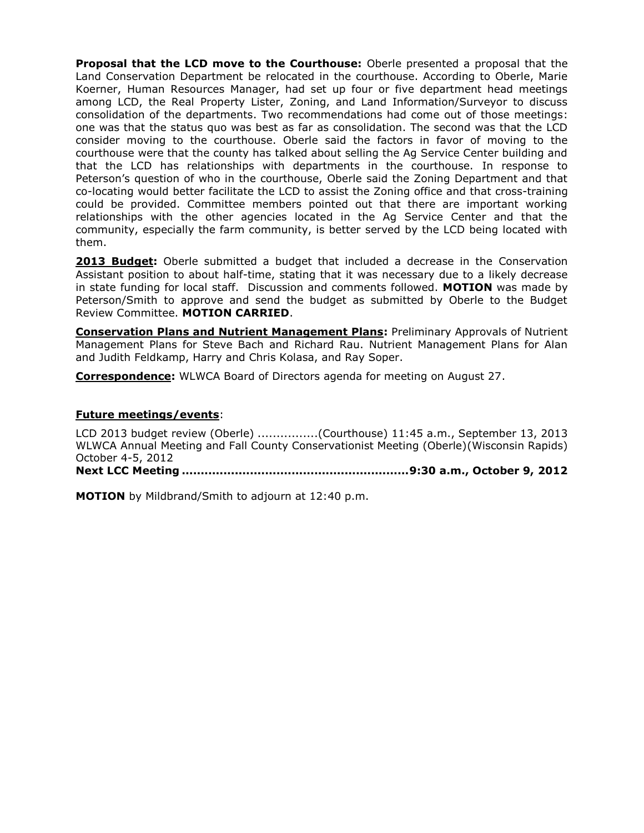**Proposal that the LCD move to the Courthouse:** Oberle presented a proposal that the Land Conservation Department be relocated in the courthouse. According to Oberle, Marie Koerner, Human Resources Manager, had set up four or five department head meetings among LCD, the Real Property Lister, Zoning, and Land Information/Surveyor to discuss consolidation of the departments. Two recommendations had come out of those meetings: one was that the status quo was best as far as consolidation. The second was that the LCD consider moving to the courthouse. Oberle said the factors in favor of moving to the courthouse were that the county has talked about selling the Ag Service Center building and that the LCD has relationships with departments in the courthouse. In response to Peterson's question of who in the courthouse, Oberle said the Zoning Department and that co-locating would better facilitate the LCD to assist the Zoning office and that cross-training could be provided. Committee members pointed out that there are important working relationships with the other agencies located in the Ag Service Center and that the community, especially the farm community, is better served by the LCD being located with them.

**2013 Budget:** Oberle submitted a budget that included a decrease in the Conservation Assistant position to about half-time, stating that it was necessary due to a likely decrease in state funding for local staff. Discussion and comments followed. **MOTION** was made by Peterson/Smith to approve and send the budget as submitted by Oberle to the Budget Review Committee. **MOTION CARRIED**.

**Conservation Plans and Nutrient Management Plans:** Preliminary Approvals of Nutrient Management Plans for Steve Bach and Richard Rau. Nutrient Management Plans for Alan and Judith Feldkamp, Harry and Chris Kolasa, and Ray Soper.

**Correspondence:** WLWCA Board of Directors agenda for meeting on August 27.

### **Future meetings/events**:

LCD 2013 budget review (Oberle) ................(Courthouse) 11:45 a.m., September 13, 2013 WLWCA Annual Meeting and Fall County Conservationist Meeting (Oberle)(Wisconsin Rapids) October 4-5, 2012

**Next LCC Meeting ............................................................9:30 a.m., October 9, 2012**

**MOTION** by Mildbrand/Smith to adjourn at 12:40 p.m.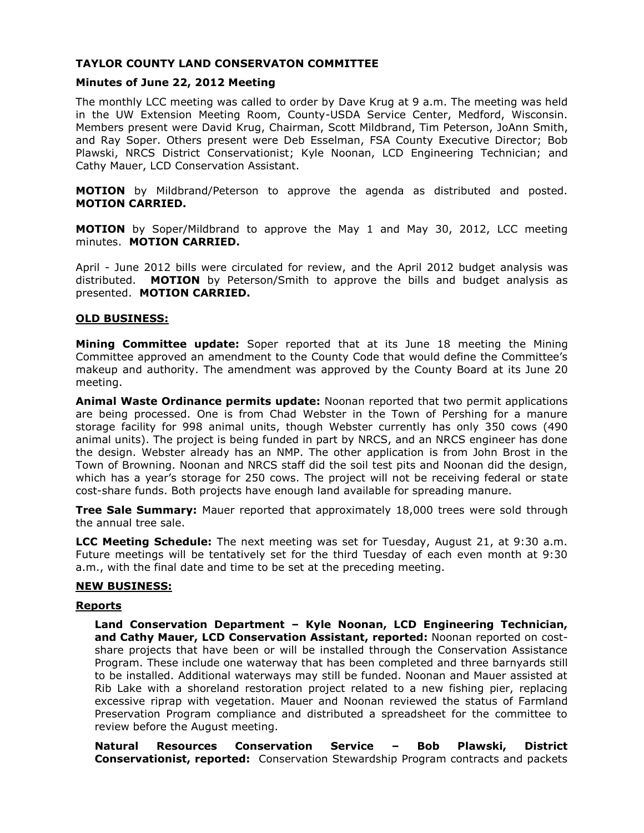# **TAYLOR COUNTY LAND CONSERVATON COMMITTEE**

### **Minutes of June 22, 2012 Meeting**

The monthly LCC meeting was called to order by Dave Krug at 9 a.m. The meeting was held in the UW Extension Meeting Room, County-USDA Service Center, Medford, Wisconsin. Members present were David Krug, Chairman, Scott Mildbrand, Tim Peterson, JoAnn Smith, and Ray Soper. Others present were Deb Esselman, FSA County Executive Director; Bob Plawski, NRCS District Conservationist; Kyle Noonan, LCD Engineering Technician; and Cathy Mauer, LCD Conservation Assistant.

**MOTION** by Mildbrand/Peterson to approve the agenda as distributed and posted. **MOTION CARRIED.**

**MOTION** by Soper/Mildbrand to approve the May 1 and May 30, 2012, LCC meeting minutes. **MOTION CARRIED.**

April - June 2012 bills were circulated for review, and the April 2012 budget analysis was distributed. **MOTION** by Peterson/Smith to approve the bills and budget analysis as presented. **MOTION CARRIED.**

### **OLD BUSINESS:**

**Mining Committee update:** Soper reported that at its June 18 meeting the Mining Committee approved an amendment to the County Code that would define the Committee's makeup and authority. The amendment was approved by the County Board at its June 20 meeting.

**Animal Waste Ordinance permits update:** Noonan reported that two permit applications are being processed. One is from Chad Webster in the Town of Pershing for a manure storage facility for 998 animal units, though Webster currently has only 350 cows (490 animal units). The project is being funded in part by NRCS, and an NRCS engineer has done the design. Webster already has an NMP. The other application is from John Brost in the Town of Browning. Noonan and NRCS staff did the soil test pits and Noonan did the design, which has a year's storage for 250 cows. The project will not be receiving federal or state cost-share funds. Both projects have enough land available for spreading manure.

**Tree Sale Summary:** Mauer reported that approximately 18,000 trees were sold through the annual tree sale.

**LCC Meeting Schedule:** The next meeting was set for Tuesday, August 21, at 9:30 a.m. Future meetings will be tentatively set for the third Tuesday of each even month at 9:30 a.m., with the final date and time to be set at the preceding meeting.

### **NEW BUSINESS:**

### **Reports**

**Land Conservation Department – Kyle Noonan, LCD Engineering Technician, and Cathy Mauer, LCD Conservation Assistant, reported:** Noonan reported on costshare projects that have been or will be installed through the Conservation Assistance Program. These include one waterway that has been completed and three barnyards still to be installed. Additional waterways may still be funded. Noonan and Mauer assisted at Rib Lake with a shoreland restoration project related to a new fishing pier, replacing excessive riprap with vegetation. Mauer and Noonan reviewed the status of Farmland Preservation Program compliance and distributed a spreadsheet for the committee to review before the August meeting.

**Natural Resources Conservation Service – Bob Plawski, District Conservationist, reported:** Conservation Stewardship Program contracts and packets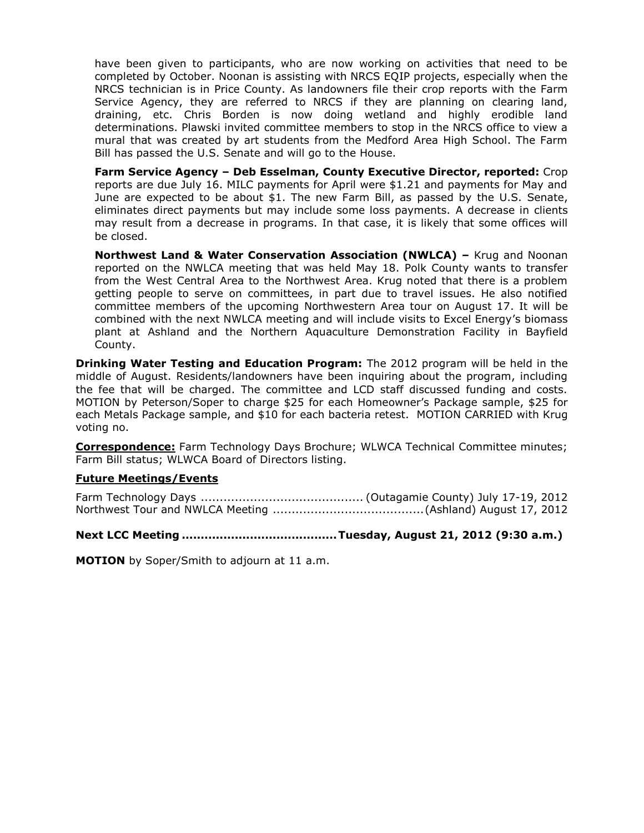have been given to participants, who are now working on activities that need to be completed by October. Noonan is assisting with NRCS EQIP projects, especially when the NRCS technician is in Price County. As landowners file their crop reports with the Farm Service Agency, they are referred to NRCS if they are planning on clearing land, draining, etc. Chris Borden is now doing wetland and highly erodible land determinations. Plawski invited committee members to stop in the NRCS office to view a mural that was created by art students from the Medford Area High School. The Farm Bill has passed the U.S. Senate and will go to the House.

**Farm Service Agency – Deb Esselman, County Executive Director, reported:** Crop reports are due July 16. MILC payments for April were \$1.21 and payments for May and June are expected to be about \$1. The new Farm Bill, as passed by the U.S. Senate, eliminates direct payments but may include some loss payments. A decrease in clients may result from a decrease in programs. In that case, it is likely that some offices will be closed.

**Northwest Land & Water Conservation Association (NWLCA) –** Krug and Noonan reported on the NWLCA meeting that was held May 18. Polk County wants to transfer from the West Central Area to the Northwest Area. Krug noted that there is a problem getting people to serve on committees, in part due to travel issues. He also notified committee members of the upcoming Northwestern Area tour on August 17. It will be combined with the next NWLCA meeting and will include visits to Excel Energy's biomass plant at Ashland and the Northern Aquaculture Demonstration Facility in Bayfield County.

**Drinking Water Testing and Education Program:** The 2012 program will be held in the middle of August. Residents/landowners have been inquiring about the program, including the fee that will be charged. The committee and LCD staff discussed funding and costs. MOTION by Peterson/Soper to charge \$25 for each Homeowner's Package sample, \$25 for each Metals Package sample, and \$10 for each bacteria retest. MOTION CARRIED with Krug voting no.

**Correspondence:** Farm Technology Days Brochure; WLWCA Technical Committee minutes; Farm Bill status; WLWCA Board of Directors listing.

## **Future Meetings/Events**

Farm Technology Days ........................................... (Outagamie County) July 17-19, 2012 Northwest Tour and NWLCA Meeting ........................................(Ashland) August 17, 2012

## **Next LCC Meeting .........................................Tuesday, August 21, 2012 (9:30 a.m.)**

**MOTION** by Soper/Smith to adjourn at 11 a.m.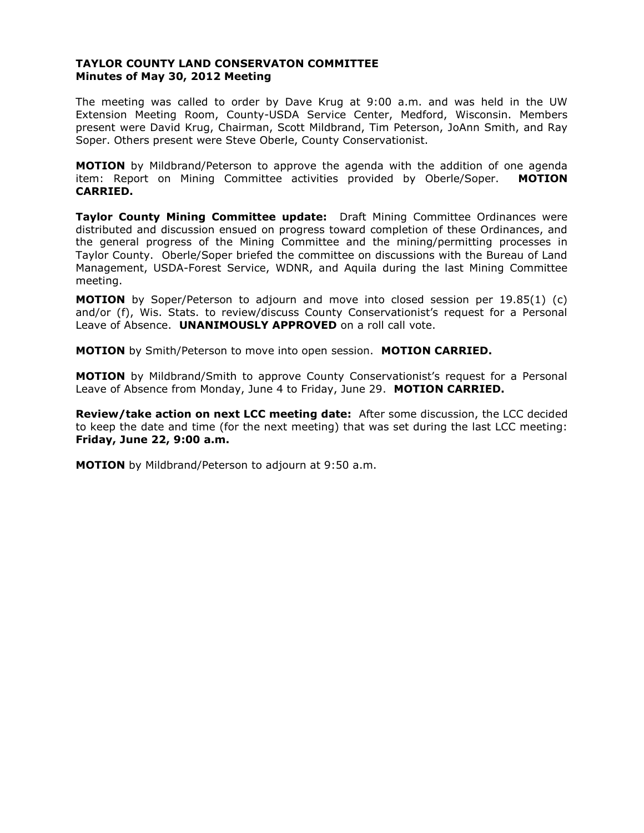## **TAYLOR COUNTY LAND CONSERVATON COMMITTEE Minutes of May 30, 2012 Meeting**

The meeting was called to order by Dave Krug at 9:00 a.m. and was held in the UW Extension Meeting Room, County-USDA Service Center, Medford, Wisconsin. Members present were David Krug, Chairman, Scott Mildbrand, Tim Peterson, JoAnn Smith, and Ray Soper. Others present were Steve Oberle, County Conservationist.

**MOTION** by Mildbrand/Peterson to approve the agenda with the addition of one agenda item: Report on Mining Committee activities provided by Oberle/Soper. **MOTION CARRIED.**

**Taylor County Mining Committee update:** Draft Mining Committee Ordinances were distributed and discussion ensued on progress toward completion of these Ordinances, and the general progress of the Mining Committee and the mining/permitting processes in Taylor County. Oberle/Soper briefed the committee on discussions with the Bureau of Land Management, USDA-Forest Service, WDNR, and Aquila during the last Mining Committee meeting.

**MOTION** by Soper/Peterson to adjourn and move into closed session per 19.85(1) (c) and/or (f), Wis. Stats. to review/discuss County Conservationist's request for a Personal Leave of Absence. **UNANIMOUSLY APPROVED** on a roll call vote.

**MOTION** by Smith/Peterson to move into open session. **MOTION CARRIED.**

**MOTION** by Mildbrand/Smith to approve County Conservationist's request for a Personal Leave of Absence from Monday, June 4 to Friday, June 29. **MOTION CARRIED.**

**Review/take action on next LCC meeting date:** After some discussion, the LCC decided to keep the date and time (for the next meeting) that was set during the last LCC meeting: **Friday, June 22, 9:00 a.m.** 

**MOTION** by Mildbrand/Peterson to adjourn at 9:50 a.m.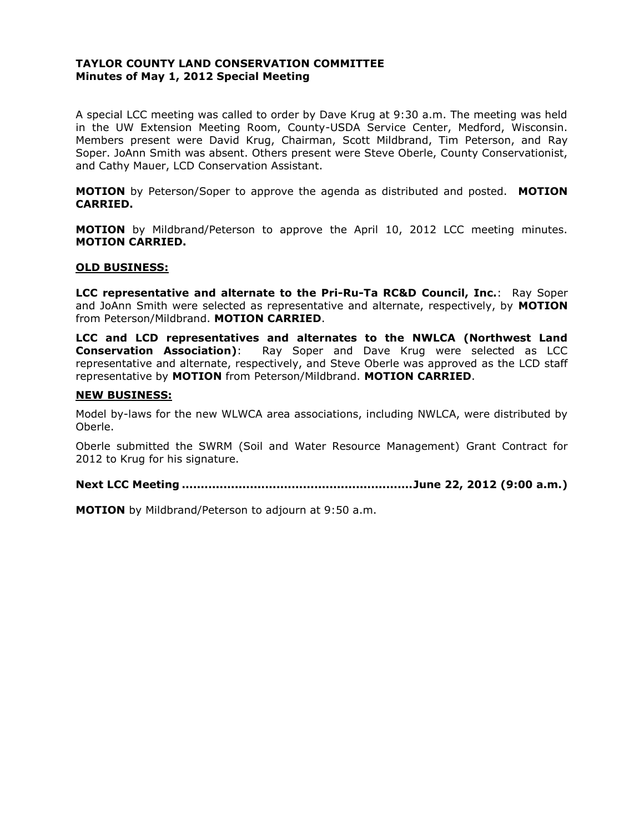## **TAYLOR COUNTY LAND CONSERVATION COMMITTEE Minutes of May 1, 2012 Special Meeting**

A special LCC meeting was called to order by Dave Krug at 9:30 a.m. The meeting was held in the UW Extension Meeting Room, County-USDA Service Center, Medford, Wisconsin. Members present were David Krug, Chairman, Scott Mildbrand, Tim Peterson, and Ray Soper. JoAnn Smith was absent. Others present were Steve Oberle, County Conservationist, and Cathy Mauer, LCD Conservation Assistant.

**MOTION** by Peterson/Soper to approve the agenda as distributed and posted. **MOTION CARRIED.**

**MOTION** by Mildbrand/Peterson to approve the April 10, 2012 LCC meeting minutes. **MOTION CARRIED.**

### **OLD BUSINESS:**

**LCC representative and alternate to the Pri-Ru-Ta RC&D Council, Inc.**: Ray Soper and JoAnn Smith were selected as representative and alternate, respectively, by **MOTION** from Peterson/Mildbrand. **MOTION CARRIED**.

**LCC and LCD representatives and alternates to the NWLCA (Northwest Land Conservation Association)**: Ray Soper and Dave Krug were selected as LCC representative and alternate, respectively, and Steve Oberle was approved as the LCD staff representative by **MOTION** from Peterson/Mildbrand. **MOTION CARRIED**.

#### **NEW BUSINESS:**

Model by-laws for the new WLWCA area associations, including NWLCA, were distributed by Oberle.

Oberle submitted the SWRM (Soil and Water Resource Management) Grant Contract for 2012 to Krug for his signature.

**Next LCC Meeting .............................................................June 22, 2012 (9:00 a.m.)**

**MOTION** by Mildbrand/Peterson to adjourn at 9:50 a.m.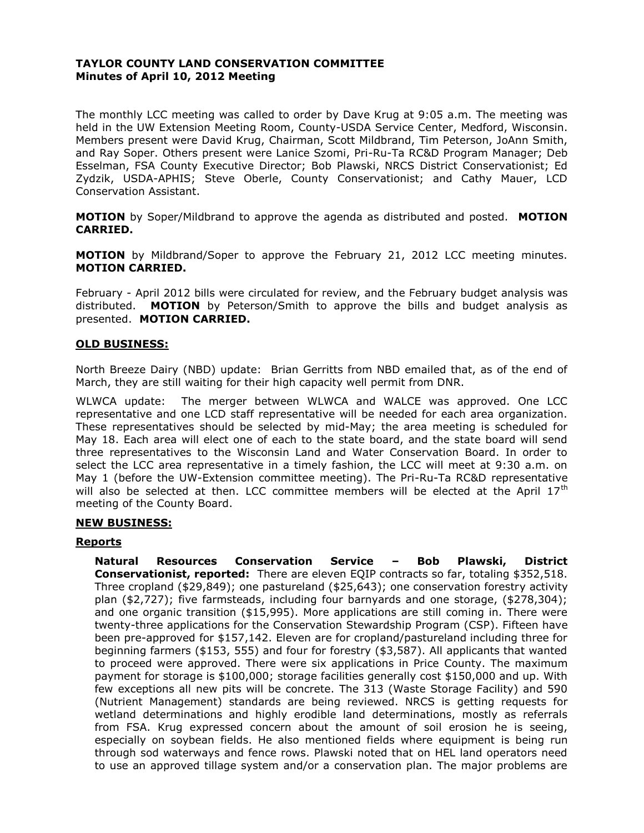## **TAYLOR COUNTY LAND CONSERVATION COMMITTEE Minutes of April 10, 2012 Meeting**

The monthly LCC meeting was called to order by Dave Krug at 9:05 a.m. The meeting was held in the UW Extension Meeting Room, County-USDA Service Center, Medford, Wisconsin. Members present were David Krug, Chairman, Scott Mildbrand, Tim Peterson, JoAnn Smith, and Ray Soper. Others present were Lanice Szomi, Pri-Ru-Ta RC&D Program Manager; Deb Esselman, FSA County Executive Director; Bob Plawski, NRCS District Conservationist; Ed Zydzik, USDA-APHIS; Steve Oberle, County Conservationist; and Cathy Mauer, LCD Conservation Assistant.

**MOTION** by Soper/Mildbrand to approve the agenda as distributed and posted. **MOTION CARRIED.**

**MOTION** by Mildbrand/Soper to approve the February 21, 2012 LCC meeting minutes. **MOTION CARRIED.**

February - April 2012 bills were circulated for review, and the February budget analysis was distributed. **MOTION** by Peterson/Smith to approve the bills and budget analysis as presented. **MOTION CARRIED.**

### **OLD BUSINESS:**

North Breeze Dairy (NBD) update: Brian Gerritts from NBD emailed that, as of the end of March, they are still waiting for their high capacity well permit from DNR.

WLWCA update: The merger between WLWCA and WALCE was approved. One LCC representative and one LCD staff representative will be needed for each area organization. These representatives should be selected by mid-May; the area meeting is scheduled for May 18. Each area will elect one of each to the state board, and the state board will send three representatives to the Wisconsin Land and Water Conservation Board. In order to select the LCC area representative in a timely fashion, the LCC will meet at 9:30 a.m. on May 1 (before the UW-Extension committee meeting). The Pri-Ru-Ta RC&D representative will also be selected at then. LCC committee members will be elected at the April  $17<sup>th</sup>$ meeting of the County Board.

### **NEW BUSINESS:**

### **Reports**

**Natural Resources Conservation Service – Bob Plawski, District Conservationist, reported:** There are eleven EQIP contracts so far, totaling \$352,518. Three cropland (\$29,849); one pastureland (\$25,643); one conservation forestry activity plan (\$2,727); five farmsteads, including four barnyards and one storage, (\$278,304); and one organic transition (\$15,995). More applications are still coming in. There were twenty-three applications for the Conservation Stewardship Program (CSP). Fifteen have been pre-approved for \$157,142. Eleven are for cropland/pastureland including three for beginning farmers (\$153, 555) and four for forestry (\$3,587). All applicants that wanted to proceed were approved. There were six applications in Price County. The maximum payment for storage is \$100,000; storage facilities generally cost \$150,000 and up. With few exceptions all new pits will be concrete. The 313 (Waste Storage Facility) and 590 (Nutrient Management) standards are being reviewed. NRCS is getting requests for wetland determinations and highly erodible land determinations, mostly as referrals from FSA. Krug expressed concern about the amount of soil erosion he is seeing, especially on soybean fields. He also mentioned fields where equipment is being run through sod waterways and fence rows. Plawski noted that on HEL land operators need to use an approved tillage system and/or a conservation plan. The major problems are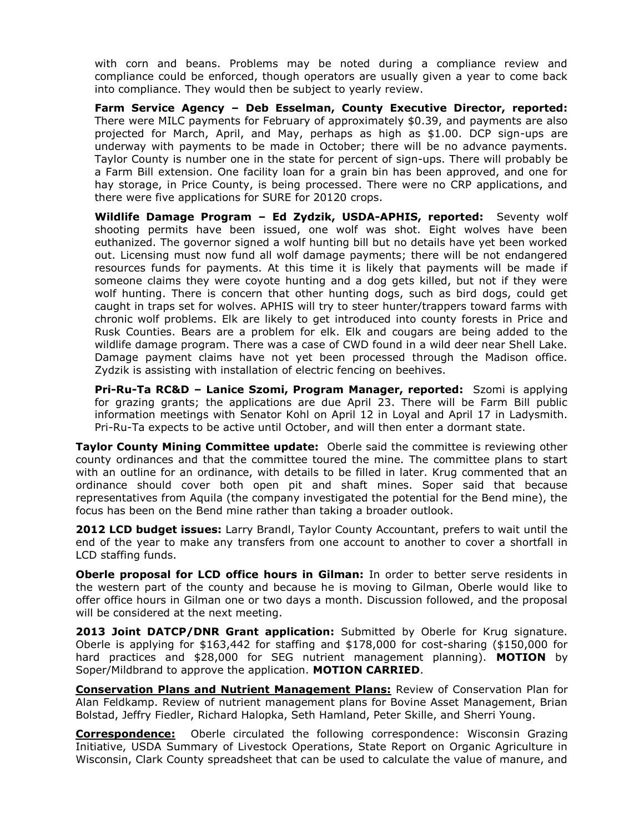with corn and beans. Problems may be noted during a compliance review and compliance could be enforced, though operators are usually given a year to come back into compliance. They would then be subject to yearly review.

**Farm Service Agency – Deb Esselman, County Executive Director, reported:** There were MILC payments for February of approximately \$0.39, and payments are also projected for March, April, and May, perhaps as high as \$1.00. DCP sign-ups are underway with payments to be made in October; there will be no advance payments. Taylor County is number one in the state for percent of sign-ups. There will probably be a Farm Bill extension. One facility loan for a grain bin has been approved, and one for hay storage, in Price County, is being processed. There were no CRP applications, and there were five applications for SURE for 20120 crops.

**Wildlife Damage Program – Ed Zydzik, USDA-APHIS, reported:** Seventy wolf shooting permits have been issued, one wolf was shot. Eight wolves have been euthanized. The governor signed a wolf hunting bill but no details have yet been worked out. Licensing must now fund all wolf damage payments; there will be not endangered resources funds for payments. At this time it is likely that payments will be made if someone claims they were coyote hunting and a dog gets killed, but not if they were wolf hunting. There is concern that other hunting dogs, such as bird dogs, could get caught in traps set for wolves. APHIS will try to steer hunter/trappers toward farms with chronic wolf problems. Elk are likely to get introduced into county forests in Price and Rusk Counties. Bears are a problem for elk. Elk and cougars are being added to the wildlife damage program. There was a case of CWD found in a wild deer near Shell Lake. Damage payment claims have not yet been processed through the Madison office. Zydzik is assisting with installation of electric fencing on beehives.

**Pri-Ru-Ta RC&D – Lanice Szomi, Program Manager, reported:** Szomi is applying for grazing grants; the applications are due April 23. There will be Farm Bill public information meetings with Senator Kohl on April 12 in Loyal and April 17 in Ladysmith. Pri-Ru-Ta expects to be active until October, and will then enter a dormant state.

**Taylor County Mining Committee update:** Oberle said the committee is reviewing other county ordinances and that the committee toured the mine. The committee plans to start with an outline for an ordinance, with details to be filled in later. Krug commented that an ordinance should cover both open pit and shaft mines. Soper said that because representatives from Aquila (the company investigated the potential for the Bend mine), the focus has been on the Bend mine rather than taking a broader outlook.

**2012 LCD budget issues:** Larry Brandl, Taylor County Accountant, prefers to wait until the end of the year to make any transfers from one account to another to cover a shortfall in LCD staffing funds.

**Oberle proposal for LCD office hours in Gilman:** In order to better serve residents in the western part of the county and because he is moving to Gilman, Oberle would like to offer office hours in Gilman one or two days a month. Discussion followed, and the proposal will be considered at the next meeting.

2013 Joint DATCP/DNR Grant application: Submitted by Oberle for Krug signature. Oberle is applying for \$163,442 for staffing and \$178,000 for cost-sharing (\$150,000 for hard practices and \$28,000 for SEG nutrient management planning). **MOTION** by Soper/Mildbrand to approve the application. **MOTION CARRIED**.

**Conservation Plans and Nutrient Management Plans:** Review of Conservation Plan for Alan Feldkamp. Review of nutrient management plans for Bovine Asset Management, Brian Bolstad, Jeffry Fiedler, Richard Halopka, Seth Hamland, Peter Skille, and Sherri Young.

**Correspondence:** Oberle circulated the following correspondence: Wisconsin Grazing Initiative, USDA Summary of Livestock Operations, State Report on Organic Agriculture in Wisconsin, Clark County spreadsheet that can be used to calculate the value of manure, and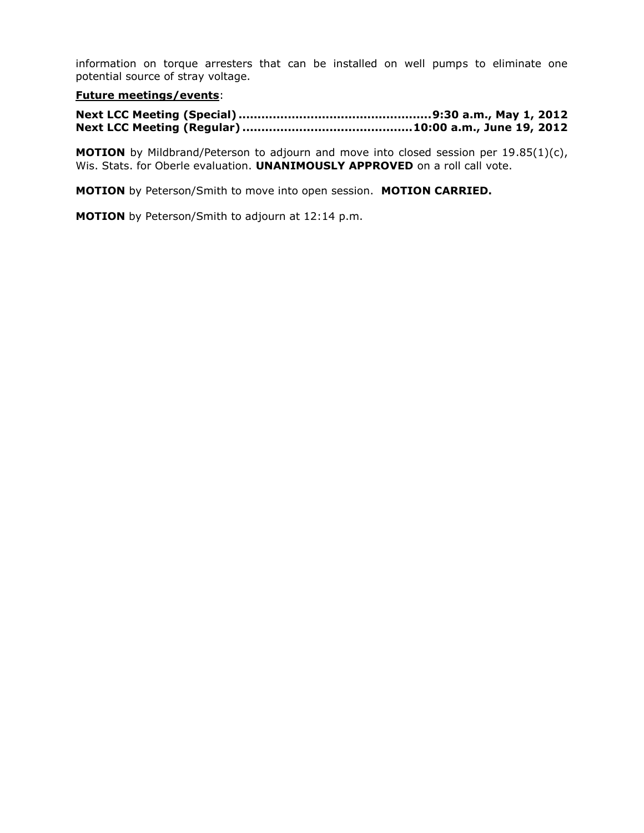information on torque arresters that can be installed on well pumps to eliminate one potential source of stray voltage.

# **Future meetings/events**:

**MOTION** by Mildbrand/Peterson to adjourn and move into closed session per 19.85(1)(c), Wis. Stats. for Oberle evaluation. **UNANIMOUSLY APPROVED** on a roll call vote.

**MOTION** by Peterson/Smith to move into open session. **MOTION CARRIED.**

**MOTION** by Peterson/Smith to adjourn at 12:14 p.m.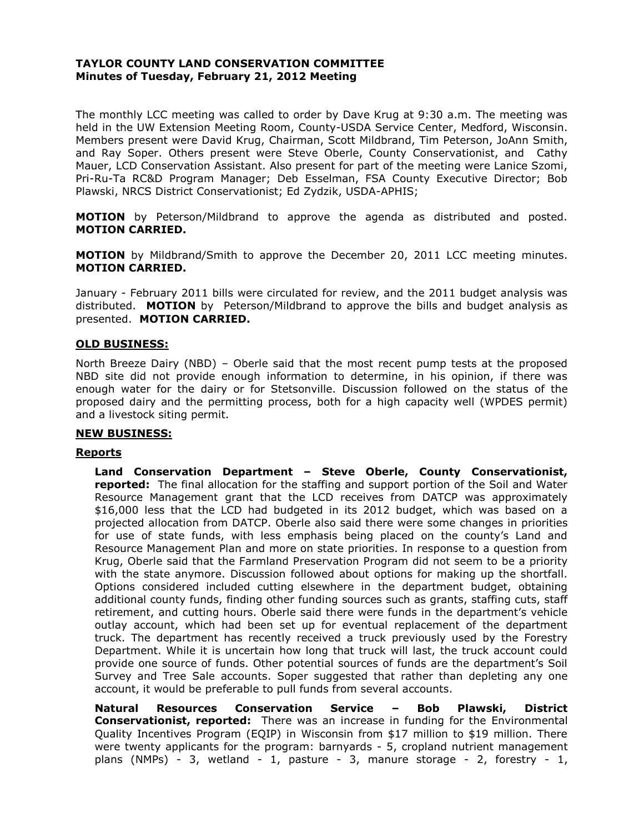## **TAYLOR COUNTY LAND CONSERVATION COMMITTEE Minutes of Tuesday, February 21, 2012 Meeting**

The monthly LCC meeting was called to order by Dave Krug at 9:30 a.m. The meeting was held in the UW Extension Meeting Room, County-USDA Service Center, Medford, Wisconsin. Members present were David Krug, Chairman, Scott Mildbrand, Tim Peterson, JoAnn Smith, and Ray Soper. Others present were Steve Oberle, County Conservationist, and Cathy Mauer, LCD Conservation Assistant. Also present for part of the meeting were Lanice Szomi, Pri-Ru-Ta RC&D Program Manager; Deb Esselman, FSA County Executive Director; Bob Plawski, NRCS District Conservationist; Ed Zydzik, USDA-APHIS;

**MOTION** by Peterson/Mildbrand to approve the agenda as distributed and posted. **MOTION CARRIED.**

**MOTION** by Mildbrand/Smith to approve the December 20, 2011 LCC meeting minutes. **MOTION CARRIED.**

January - February 2011 bills were circulated for review, and the 2011 budget analysis was distributed. **MOTION** by Peterson/Mildbrand to approve the bills and budget analysis as presented. **MOTION CARRIED.**

## **OLD BUSINESS:**

North Breeze Dairy (NBD) – Oberle said that the most recent pump tests at the proposed NBD site did not provide enough information to determine, in his opinion, if there was enough water for the dairy or for Stetsonville. Discussion followed on the status of the proposed dairy and the permitting process, both for a high capacity well (WPDES permit) and a livestock siting permit.

## **NEW BUSINESS:**

### **Reports**

**Land Conservation Department – Steve Oberle, County Conservationist, reported:** The final allocation for the staffing and support portion of the Soil and Water Resource Management grant that the LCD receives from DATCP was approximately \$16,000 less that the LCD had budgeted in its 2012 budget, which was based on a projected allocation from DATCP. Oberle also said there were some changes in priorities for use of state funds, with less emphasis being placed on the county's Land and Resource Management Plan and more on state priorities. In response to a question from Krug, Oberle said that the Farmland Preservation Program did not seem to be a priority with the state anymore. Discussion followed about options for making up the shortfall. Options considered included cutting elsewhere in the department budget, obtaining additional county funds, finding other funding sources such as grants, staffing cuts, staff retirement, and cutting hours. Oberle said there were funds in the department's vehicle outlay account, which had been set up for eventual replacement of the department truck. The department has recently received a truck previously used by the Forestry Department. While it is uncertain how long that truck will last, the truck account could provide one source of funds. Other potential sources of funds are the department's Soil Survey and Tree Sale accounts. Soper suggested that rather than depleting any one account, it would be preferable to pull funds from several accounts.

**Natural Resources Conservation Service – Bob Plawski, District Conservationist, reported:** There was an increase in funding for the Environmental Quality Incentives Program (EQIP) in Wisconsin from \$17 million to \$19 million. There were twenty applicants for the program: barnyards - 5, cropland nutrient management plans (NMPs) - 3, wetland - 1, pasture - 3, manure storage - 2, forestry - 1,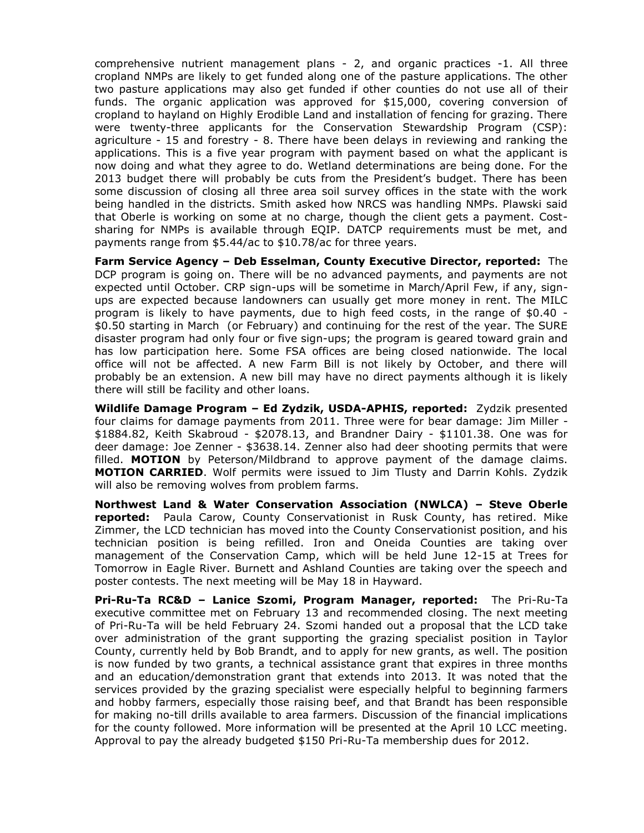comprehensive nutrient management plans - 2, and organic practices -1. All three cropland NMPs are likely to get funded along one of the pasture applications. The other two pasture applications may also get funded if other counties do not use all of their funds. The organic application was approved for \$15,000, covering conversion of cropland to hayland on Highly Erodible Land and installation of fencing for grazing. There were twenty-three applicants for the Conservation Stewardship Program (CSP): agriculture - 15 and forestry - 8. There have been delays in reviewing and ranking the applications. This is a five year program with payment based on what the applicant is now doing and what they agree to do. Wetland determinations are being done. For the 2013 budget there will probably be cuts from the President's budget. There has been some discussion of closing all three area soil survey offices in the state with the work being handled in the districts. Smith asked how NRCS was handling NMPs. Plawski said that Oberle is working on some at no charge, though the client gets a payment. Costsharing for NMPs is available through EQIP. DATCP requirements must be met, and payments range from \$5.44/ac to \$10.78/ac for three years.

**Farm Service Agency – Deb Esselman, County Executive Director, reported:** The DCP program is going on. There will be no advanced payments, and payments are not expected until October. CRP sign-ups will be sometime in March/April Few, if any, signups are expected because landowners can usually get more money in rent. The MILC program is likely to have payments, due to high feed costs, in the range of \$0.40 - \$0.50 starting in March (or February) and continuing for the rest of the year. The SURE disaster program had only four or five sign-ups; the program is geared toward grain and has low participation here. Some FSA offices are being closed nationwide. The local office will not be affected. A new Farm Bill is not likely by October, and there will probably be an extension. A new bill may have no direct payments although it is likely there will still be facility and other loans.

**Wildlife Damage Program – Ed Zydzik, USDA-APHIS, reported:** Zydzik presented four claims for damage payments from 2011. Three were for bear damage: Jim Miller - \$1884.82, Keith Skabroud - \$2078.13, and Brandner Dairy - \$1101.38. One was for deer damage: Joe Zenner - \$3638.14. Zenner also had deer shooting permits that were filled. **MOTION** by Peterson/Mildbrand to approve payment of the damage claims. **MOTION CARRIED**. Wolf permits were issued to Jim Tlusty and Darrin Kohls. Zydzik will also be removing wolves from problem farms.

**Northwest Land & Water Conservation Association (NWLCA) – Steve Oberle reported:** Paula Carow, County Conservationist in Rusk County, has retired. Mike Zimmer, the LCD technician has moved into the County Conservationist position, and his technician position is being refilled. Iron and Oneida Counties are taking over management of the Conservation Camp, which will be held June 12-15 at Trees for Tomorrow in Eagle River. Burnett and Ashland Counties are taking over the speech and poster contests. The next meeting will be May 18 in Hayward.

**Pri-Ru-Ta RC&D – Lanice Szomi, Program Manager, reported:** The Pri-Ru-Ta executive committee met on February 13 and recommended closing. The next meeting of Pri-Ru-Ta will be held February 24. Szomi handed out a proposal that the LCD take over administration of the grant supporting the grazing specialist position in Taylor County, currently held by Bob Brandt, and to apply for new grants, as well. The position is now funded by two grants, a technical assistance grant that expires in three months and an education/demonstration grant that extends into 2013. It was noted that the services provided by the grazing specialist were especially helpful to beginning farmers and hobby farmers, especially those raising beef, and that Brandt has been responsible for making no-till drills available to area farmers. Discussion of the financial implications for the county followed. More information will be presented at the April 10 LCC meeting. Approval to pay the already budgeted \$150 Pri-Ru-Ta membership dues for 2012.